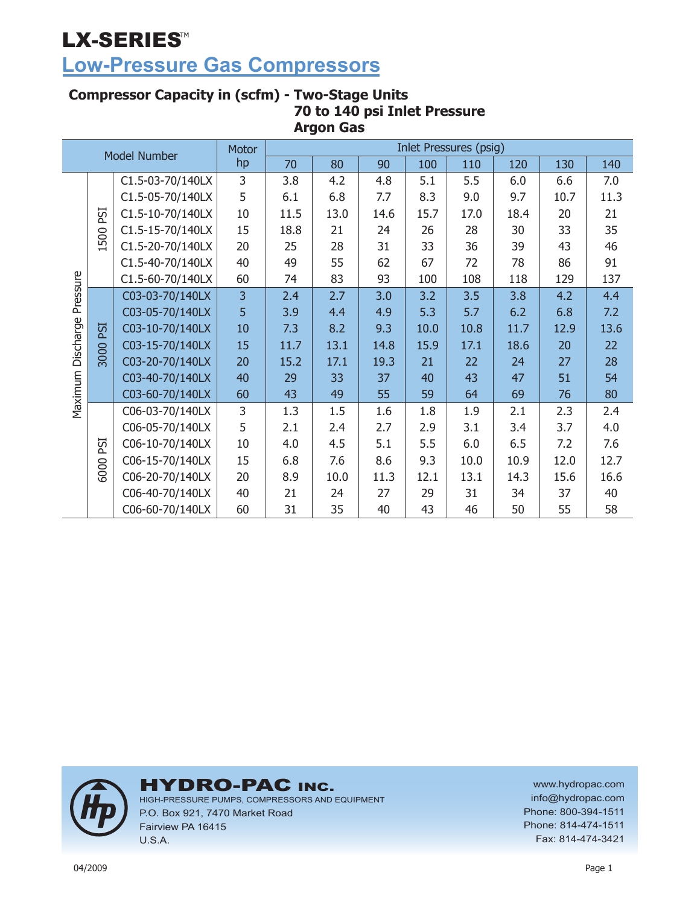## **Low-Pressure Gas Compressors**

#### **Compressor Capacity in (scfm) - Two-Stage Units 70 to 140 psi Inlet Pressure Argon Gas**

| <b>Model Number</b> |      | <b>Motor</b>     |                |      |      |      | <b>Inlet Pressures (psig)</b> |      |      |      |      |
|---------------------|------|------------------|----------------|------|------|------|-------------------------------|------|------|------|------|
|                     |      |                  | hp             | 70   | 80   | 90   | 100                           | 110  | 120  | 130  | 140  |
|                     |      | C1.5-03-70/140LX | 3              | 3.8  | 4.2  | 4.8  | 5.1                           | 5.5  | 6.0  | 6.6  | 7.0  |
| Pressure            |      | C1.5-05-70/140LX | 5              | 6.1  | 6.8  | 7.7  | 8.3                           | 9.0  | 9.7  | 10.7 | 11.3 |
|                     | PSI  | C1.5-10-70/140LX | 10             | 11.5 | 13.0 | 14.6 | 15.7                          | 17.0 | 18.4 | 20   | 21   |
|                     | 500  | C1.5-15-70/140LX | 15             | 18.8 | 21   | 24   | 26                            | 28   | 30   | 33   | 35   |
|                     |      | C1.5-20-70/140LX | 20             | 25   | 28   | 31   | 33                            | 36   | 39   | 43   | 46   |
|                     |      | C1.5-40-70/140LX | 40             | 49   | 55   | 62   | 67                            | 72   | 78   | 86   | 91   |
|                     |      | C1.5-60-70/140LX | 60             | 74   | 83   | 93   | 100                           | 108  | 118  | 129  | 137  |
|                     |      | C03-03-70/140LX  | $\overline{3}$ | 2.4  | 2.7  | 3.0  | 3.2                           | 3.5  | 3.8  | 4.2  | 4.4  |
|                     |      | C03-05-70/140LX  | 5              | 3.9  | 4.4  | 4.9  | 5.3                           | 5.7  | 6.2  | 6.8  | 7.2  |
|                     | ESI  | C03-10-70/140LX  | 10             | 7.3  | 8.2  | 9.3  | 10.0                          | 10.8 | 11.7 | 12.9 | 13.6 |
| Discharge           |      | C03-15-70/140LX  | 15             | 11.7 | 13.1 | 14.8 | 15.9                          | 17.1 | 18.6 | 20   | 22   |
|                     | 3000 | C03-20-70/140LX  | 20             | 15.2 | 17.1 | 19.3 | 21                            | 22   | 24   | 27   | 28   |
|                     |      | C03-40-70/140LX  | 40             | 29   | 33   | 37   | 40                            | 43   | 47   | 51   | 54   |
| Maximum             |      | C03-60-70/140LX  | 60             | 43   | 49   | 55   | 59                            | 64   | 69   | 76   | 80   |
|                     |      | C06-03-70/140LX  | 3              | 1.3  | 1.5  | 1.6  | 1.8                           | 1.9  | 2.1  | 2.3  | 2.4  |
|                     |      | C06-05-70/140LX  | 5              | 2.1  | 2.4  | 2.7  | 2.9                           | 3.1  | 3.4  | 3.7  | 4.0  |
|                     | ESI  | C06-10-70/140LX  | 10             | 4.0  | 4.5  | 5.1  | 5.5                           | 6.0  | 6.5  | 7.2  | 7.6  |
|                     | 6000 | C06-15-70/140LX  | 15             | 6.8  | 7.6  | 8.6  | 9.3                           | 10.0 | 10.9 | 12.0 | 12.7 |
|                     |      | C06-20-70/140LX  | 20             | 8.9  | 10.0 | 11.3 | 12.1                          | 13.1 | 14.3 | 15.6 | 16.6 |
|                     |      | C06-40-70/140LX  | 40             | 21   | 24   | 27   | 29                            | 31   | 34   | 37   | 40   |
|                     |      | C06-60-70/140LX  | 60             | 31   | 35   | 40   | 43                            | 46   | 50   | 55   | 58   |



**HYDRO-PAC INC.** 

HIGH-PRESSURE PUMPS, COMPRESSORS AND EQUIPMENT P.O. Box 921, 7470 Market Road Fairview PA 16415 U.S.A.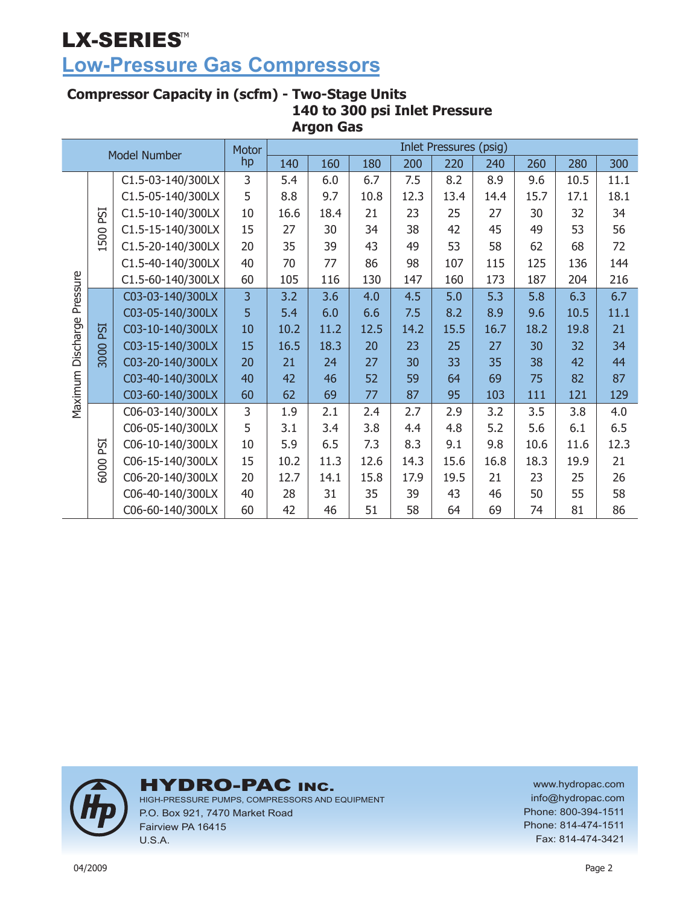## **Low-Pressure Gas Compressors**

#### **Compressor Capacity in (scfm) - Two-Stage Units 140 to 300 psi Inlet Pressure Argon Gas**

| <b>Model Number</b> |      | Motor             |    |      |      |      | <b>Inlet Pressures (psig)</b> |      |      |      |      |      |
|---------------------|------|-------------------|----|------|------|------|-------------------------------|------|------|------|------|------|
|                     |      |                   | hp | 140  | 160  | 180  | 200                           | 220  | 240  | 260  | 280  | 300  |
|                     |      | C1.5-03-140/300LX | 3  | 5.4  | 6.0  | 6.7  | 7.5                           | 8.2  | 8.9  | 9.6  | 10.5 | 11.1 |
|                     |      | C1.5-05-140/300LX | 5  | 8.8  | 9.7  | 10.8 | 12.3                          | 13.4 | 14.4 | 15.7 | 17.1 | 18.1 |
|                     | PSI  | C1.5-10-140/300LX | 10 | 16.6 | 18.4 | 21   | 23                            | 25   | 27   | 30   | 32   | 34   |
|                     | 500  | C1.5-15-140/300LX | 15 | 27   | 30   | 34   | 38                            | 42   | 45   | 49   | 53   | 56   |
|                     |      | C1.5-20-140/300LX | 20 | 35   | 39   | 43   | 49                            | 53   | 58   | 62   | 68   | 72   |
|                     |      | C1.5-40-140/300LX | 40 | 70   | 77   | 86   | 98                            | 107  | 115  | 125  | 136  | 144  |
|                     |      | C1.5-60-140/300LX | 60 | 105  | 116  | 130  | 147                           | 160  | 173  | 187  | 204  | 216  |
| Pressure            |      | C03-03-140/300LX  | 3  | 3.2  | 3.6  | 4.0  | 4.5                           | 5.0  | 5.3  | 5.8  | 6.3  | 6.7  |
|                     |      | C03-05-140/300LX  | 5  | 5.4  | 6.0  | 6.6  | 7.5                           | 8.2  | 8.9  | 9.6  | 10.5 | 11.1 |
|                     | ESI  | C03-10-140/300LX  | 10 | 10.2 | 11.2 | 12.5 | 14.2                          | 15.5 | 16.7 | 18.2 | 19.8 | 21   |
| Discharge           |      | C03-15-140/300LX  | 15 | 16.5 | 18.3 | 20   | 23                            | 25   | 27   | 30   | 32   | 34   |
|                     | 3000 | C03-20-140/300LX  | 20 | 21   | 24   | 27   | 30                            | 33   | 35   | 38   | 42   | 44   |
|                     |      | C03-40-140/300LX  | 40 | 42   | 46   | 52   | 59                            | 64   | 69   | 75   | 82   | 87   |
| Maximum             |      | C03-60-140/300LX  | 60 | 62   | 69   | 77   | 87                            | 95   | 103  | 111  | 121  | 129  |
|                     |      | C06-03-140/300LX  | 3  | 1.9  | 2.1  | 2.4  | 2.7                           | 2.9  | 3.2  | 3.5  | 3.8  | 4.0  |
|                     |      | C06-05-140/300LX  | 5  | 3.1  | 3.4  | 3.8  | 4.4                           | 4.8  | 5.2  | 5.6  | 6.1  | 6.5  |
|                     | PSI  | C06-10-140/300LX  | 10 | 5.9  | 6.5  | 7.3  | 8.3                           | 9.1  | 9.8  | 10.6 | 11.6 | 12.3 |
|                     |      | C06-15-140/300LX  | 15 | 10.2 | 11.3 | 12.6 | 14.3                          | 15.6 | 16.8 | 18.3 | 19.9 | 21   |
|                     | 6000 | C06-20-140/300LX  | 20 | 12.7 | 14.1 | 15.8 | 17.9                          | 19.5 | 21   | 23   | 25   | 26   |
|                     |      | C06-40-140/300LX  | 40 | 28   | 31   | 35   | 39                            | 43   | 46   | 50   | 55   | 58   |
|                     |      | C06-60-140/300LX  | 60 | 42   | 46   | 51   | 58                            | 64   | 69   | 74   | 81   | 86   |



**HYDRO-PAC INC.** 

HIGH-PRESSURE PUMPS, COMPRESSORS AND EQUIPMENT P.O. Box 921, 7470 Market Road Fairview PA 16415 U.S.A.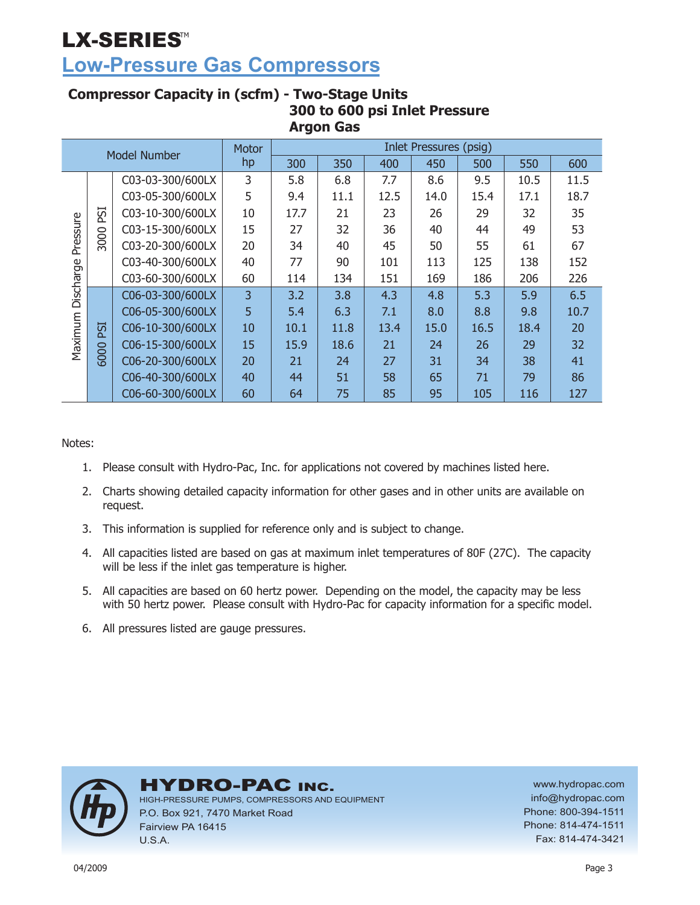## **Low-Pressure Gas Compressors**

#### **Compressor Capacity in (scfm) - Two-Stage Units 300 to 600 psi Inlet Pressure Argon Gas**

|           |                |                  | Motor |      |      |      | <b>Inlet Pressures (psig)</b> |      |      |      |
|-----------|----------------|------------------|-------|------|------|------|-------------------------------|------|------|------|
|           |                | Model Number     | hp    | 300  | 350  | 400  | 450                           | 500  | 550  | 600  |
|           |                | C03-03-300/600LX | 3     | 5.8  | 6.8  | 7.7  | 8.6                           | 9.5  | 10.5 | 11.5 |
| Pressure  |                | C03-05-300/600LX | 5     | 9.4  | 11.1 | 12.5 | 14.0                          | 15.4 | 17.1 | 18.7 |
|           | 51<br>$\Delta$ | C03-10-300/600LX | 10    | 17.7 | 21   | 23   | 26                            | 29   | 32   | 35   |
|           |                | C03-15-300/600LX | 15    | 27   | 32   | 36   | 40                            | 44   | 49   | 53   |
|           | 3000           | C03-20-300/600LX | 20    | 34   | 40   | 45   | 50                            | 55   | 61   | 67   |
|           |                | C03-40-300/600LX | 40    | 77   | 90   | 101  | 113                           | 125  | 138  | 152  |
|           |                | C03-60-300/600LX | 60    | 114  | 134  | 151  | 169                           | 186  | 206  | 226  |
| Discharge |                | C06-03-300/600LX | 3     | 3.2  | 3.8  | 4.3  | 4.8                           | 5.3  | 5.9  | 6.5  |
|           |                | C06-05-300/600LX | 5     | 5.4  | 6.3  | 7.1  | 8.0                           | 8.8  | 9.8  | 10.7 |
|           | <b>ISI</b>     | C06-10-300/600LX | 10    | 10.1 | 11.8 | 13.4 | 15.0                          | 16.5 | 18.4 | 20   |
| Maximum   |                | C06-15-300/600LX | 15    | 15.9 | 18.6 | 21   | 24                            | 26   | 29   | 32   |
|           | 6000           | C06-20-300/600LX | 20    | 21   | 24   | 27   | 31                            | 34   | 38   | 41   |
|           |                | C06-40-300/600LX | 40    | 44   | 51   | 58   | 65                            | 71   | 79   | 86   |
|           |                | C06-60-300/600LX | 60    | 64   | 75   | 85   | 95                            | 105  | 116  | 127  |

Notes:

- 1. Please consult with Hydro-Pac, Inc. for applications not covered by machines listed here.
- Charts showing detailed capacity information for other gases and in other units are available on 2. request.
- 3. This information is supplied for reference only and is subject to change.
- All capacities listed are based on gas at maximum inlet temperatures of 80F (27C). The capacity 4. will be less if the inlet gas temperature is higher.
- 5. All capacities are based on 60 hertz power. Depending on the model, the capacity may be less with 50 hertz power. Please consult with Hydro-Pac for capacity information for a specific model.
- All pressures listed are gauge pressures. 6.



### **HYDRO-PAC INC.**

HIGH-PRESSURE PUMPS, COMPRESSORS AND EQUIPMENT P.O. Box 921, 7470 Market Road Fairview PA 16415 U.S.A.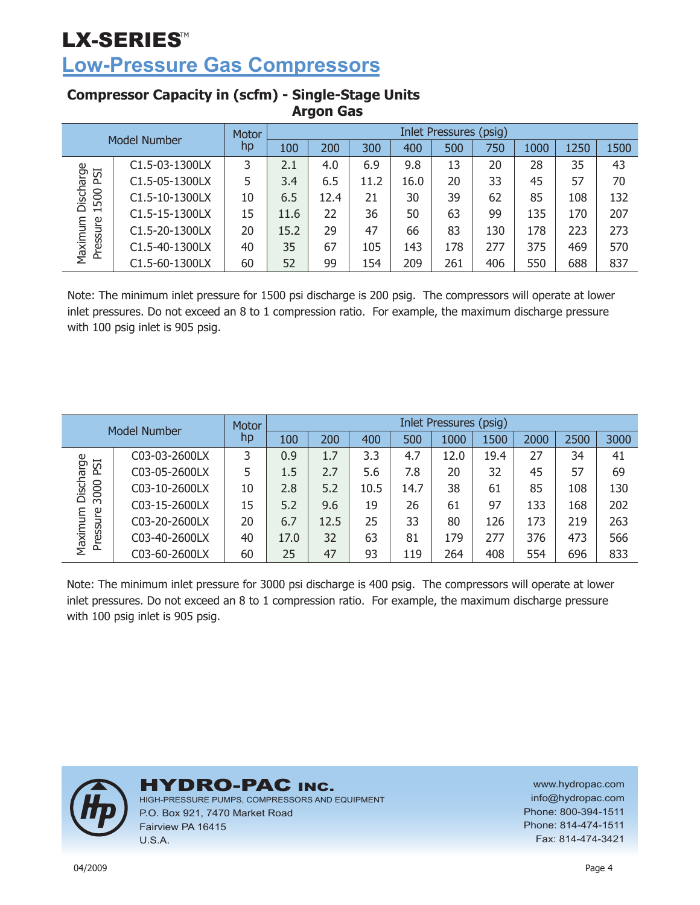**Low-Pressure Gas Compressors**

| Model Number        |                | Motor | <b>Inlet Pressures (psig)</b> |      |      |      |     |     |      |      |      |  |
|---------------------|----------------|-------|-------------------------------|------|------|------|-----|-----|------|------|------|--|
|                     |                | hp    | 100                           | 200  | 300  | 400  | 500 | 750 | 1000 | 1250 | 1500 |  |
|                     | C1.5-03-1300LX | 3     | 2.1                           | 4.0  | 6.9  | 9.8  | 13  | 20  | 28   | 35   | 43   |  |
| Discharge<br>ESI    | C1.5-05-1300LX | 5     | 3.4                           | 6.5  | 11.2 | 16.0 | 20  | 33  | 45   | 57   | 70   |  |
| 500                 | C1.5-10-1300LX | 10    | 6.5                           | 12.4 | 21   | 30   | 39  | 62  | 85   | 108  | 132  |  |
| $\blacksquare$      | C1.5-15-1300LX | 15    | 11.6                          | 22   | 36   | 50   | 63  | 99  | 135  | 170  | 207  |  |
| Maximum<br>Pressure | C1.5-20-1300LX | 20    | 15.2                          | 29   | 47   | 66   | 83  | 130 | 178  | 223  | 273  |  |
|                     | C1.5-40-1300LX | 40    | 35                            | 67   | 105  | 143  | 178 | 277 | 375  | 469  | 570  |  |
|                     | C1.5-60-1300LX | 60    | 52                            | 99   | 154  | 209  | 261 | 406 | 550  | 688  | 837  |  |

### **Compressor Capacity in (scfm) - Single-Stage Units Argon Gas**

Note: The minimum inlet pressure for 1500 psi discharge is 200 psig. The compressors will operate at lower inlet pressures. Do not exceed an 8 to 1 compression ratio. For example, the maximum discharge pressure with 100 psig inlet is 905 psig.

| Model Number       |               | Motor | Inlet Pressures (psig) |      |      |      |      |      |      |      |      |  |
|--------------------|---------------|-------|------------------------|------|------|------|------|------|------|------|------|--|
|                    |               | hp    | 100                    | 200  | 400  | 500  | 1000 | 1500 | 2000 | 2500 | 3000 |  |
| Discharge<br>PSI   | C03-03-2600LX |       | 0.9                    | 1.7  | 3.3  | 4.7  | 12.0 | 19.4 | 27   | 34   | 41   |  |
|                    | C03-05-2600LX | 5     | 1.5                    | 2.7  | 5.6  | 7.8  | 20   | 32   | 45   | 57   | 69   |  |
| 3000               | C03-10-2600LX | 10    | 2.8                    | 5.2  | 10.5 | 14.7 | 38   | 61   | 85   | 108  | 130  |  |
|                    | C03-15-2600LX | 15    | 5.2                    | 9.6  | 19   | 26   | 61   | 97   | 133  | 168  | 202  |  |
| Maximum<br>ressure | C03-20-2600LX | 20    | 6.7                    | 12.5 | 25   | 33   | 80   | 126  | 173  | 219  | 263  |  |
|                    | C03-40-2600LX | 40    | 17.0                   | 32   | 63   | 81   | 179  | 277  | 376  | 473  | 566  |  |
| ՟                  | C03-60-2600LX | 60    | 25                     | 47   | 93   | 119  | 264  | 408  | 554  | 696  | 833  |  |

Note: The minimum inlet pressure for 3000 psi discharge is 400 psig. The compressors will operate at lower inlet pressures. Do not exceed an 8 to 1 compression ratio. For example, the maximum discharge pressure with 100 psig inlet is 905 psig.



HYDRO-PAC INC.

HIGH-PRESSURE PUMPS, COMPRESSORS AND EQUIPMENT P.O. Box 921, 7470 Market Road Fairview PA 16415 U.S.A.